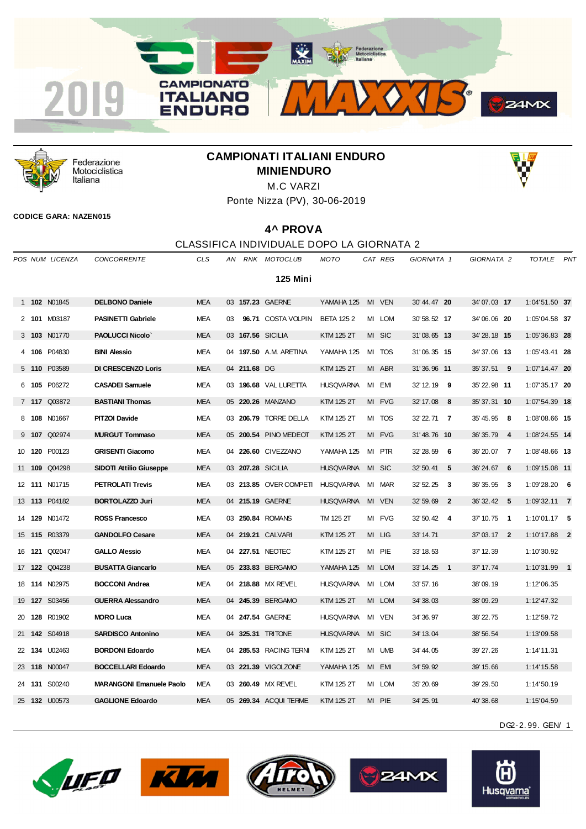



Federazione Motociclistica Italiana

# **CAMPIONATI ITALIANI ENDURO MINIENDURO**



Ponte Nizza (PV), 30-06-2019

#### **CODICE GARA: NAZEN015**

### **4^ PROVA**

### CLASSIFICA INDIVIDUALE DOPO LA GIORNATA 2

|       | POS NUM LICENZA      | <b>CONCORRENTE</b>              | <b>CLS</b> | AN |              | RNK MOTOCLUB           | MOTO             |    | CAT REG    | GIORNATA 1                           | GIORNATA 2                  | <b>TOTALE</b>   | PNT |
|-------|----------------------|---------------------------------|------------|----|--------------|------------------------|------------------|----|------------|--------------------------------------|-----------------------------|-----------------|-----|
|       |                      |                                 |            |    |              | 125 Mini               |                  |    |            |                                      |                             |                 |     |
|       | 1 102 N01845         | <b>DELBONO Daniele</b>          | <b>MEA</b> |    |              | 03 157.23 GAERNE       | YAMAHA 125       |    | MI VEN     | 30' 44.47 20                         | 34'07.03 17                 | 1:04'51.50 37   |     |
|       | 2 101 M03187         | <b>PASINETTI Gabriele</b>       | <b>MEA</b> | 03 |              | 96.71 COSTA VOLPIN     | <b>BETA 1252</b> |    | MI LOM     | 30' 58.52 17                         | 34'06.06 20                 | 1:05'04.58 37   |     |
|       | 3 103 N01770         | <b>PAOLUCCI Nicolo'</b>         | <b>MEA</b> |    |              | 03 167.56 SICILIA      | KTM 125 2T       |    | MI SIC     | 31'08.65 13                          | 34' 28.18 15                | $1:05'36.83$ 28 |     |
|       | 4 106 P04830         | <b>BINI Alessio</b>             | <b>MEA</b> |    |              | 04 197.50 A.M. ARETINA | YAMAHA 125       | MI | <b>TOS</b> | 31'06.35 15                          | 34'37.06 13                 | $1:05'43.41$ 28 |     |
|       | 5 110 P03589         | <b>DI CRESCENZO Loris</b>       | <b>MEA</b> |    | 04 211.68 DG |                        | KTM 125 2T       |    | MI ABR     | 31'36.96 11                          | 35' 37.51 9                 | $1:07'14.47$ 20 |     |
| 6 105 | P06272               | <b>CASADEI Samuele</b>          | <b>MEA</b> |    |              | 03 196.68 VAL LURETTA  | <b>HUSQVARNA</b> | MI | EM         | 32' 12.19<br>- 9                     | 35' 22.98 11                | $1:07'35.17$ 20 |     |
|       | 7 117 Q03872         | <b>BASTIANI Thomas</b>          | <b>MEA</b> |    |              | 05 220.26 MANZANO      | KTM 125 2T       | MI | <b>FVG</b> | 32' 17.08<br>- 8                     | 35' 37.31 10                | $1:07'54.39$ 18 |     |
|       | 8 108 N01667         | <b>PITZOI Davide</b>            | <b>MEA</b> |    |              | 03 206.79 TORRE DELLA  | KTM 125 2T       |    | MI TOS     | 32' 22.71 7                          | 35'45.95 8                  | 1:08'08.66 15   |     |
|       | 9 107 Q02974         | <b>MURGUT Tommaso</b>           | <b>MEA</b> |    |              | 05 200.54 PINO MEDEOT  | KTM 125 2T       |    | MI FVG     | 31'48.76 10                          | 36' 35.79<br>$\overline{4}$ | 1:08'24.55 14   |     |
|       | 10 120 P00123        | <b>GRISENTI Giacomo</b>         | <b>MEA</b> |    |              | 04 226.60 CIVEZZANO    | YAMAHA 125       | MI | <b>PTR</b> | 32' 28.59<br>- 6                     | 36' 20.07<br>$\overline{7}$ | $1:08'48.66$ 13 |     |
|       | 11 109 Q04298        | <b>SIDOTI Attilio Giuseppe</b>  | <b>MEA</b> |    |              | 03 207.28 SICILIA      | <b>HUSQVARNA</b> | MI | <b>SIC</b> | 32' 50.41<br>- 5                     | 36'24.67 6                  | $1:09'15.08$ 11 |     |
|       | 12 111 N01715        | <b>PETROLATI Trevis</b>         | <b>MEA</b> |    |              | 03 213.85 OVER COMPETI | <b>HUSQVARNA</b> | MI | <b>MAR</b> | 32' 52.25<br>- 3                     | 36'35.95 3                  | $1:09'28.20$ 6  |     |
|       | 13 113 P04182        | <b>BORTOLAZZO Juri</b>          | <b>MEA</b> |    |              | 04 215.19 GAERNE       | <b>HUSQVARNA</b> |    | MI VEN     | 32' 59.69<br>$\overline{\mathbf{2}}$ | 36' 32.42 5                 | $1:09'32.11$ 7  |     |
|       | 14 129 N01472        | <b>ROSS Francesco</b>           | <b>MEA</b> |    |              | 03 250.84 ROMANS       | TM 125 2T        |    | MI FVG     | 32' 50.42 4                          | 37' 10.75 1                 | $1:10'01.17$ 5  |     |
|       | 15 115 R03379        | <b>GANDOLFO Cesare</b>          | <b>MEA</b> |    |              | 04 219.21 CALVARI      | KTM 125 2T       |    | MI LIG     | 33' 14.71                            | 37'03.17 2                  | $1:10'17.88$ 2  |     |
|       | 16 <b>121 Q02047</b> | <b>GALLO Alessio</b>            | <b>MEA</b> |    |              | 04 227.51 NEOTEC       | KTM 125 2T       |    | MI PIE     | 33' 18.53                            | 37' 12.39                   | 1:10'30.92      |     |
|       | 17 <b>122</b> Q04238 | <b>BUSATTA Giancarlo</b>        | <b>MEA</b> |    |              | 05 233.83 BERGAMO      | YAMAHA 125       |    | MI LOM     | 33' 14.25 1                          | 37' 17.74                   | $1:10'31.99$ 1  |     |
|       | 18 <b>114 N02975</b> | <b>BOCCONI Andrea</b>           | <b>MEA</b> |    |              | 04 218.88 MX REVEL     | <b>HUSQVARNA</b> | MI | <b>LOM</b> | 33' 57.16                            | 38'09.19                    | 1:12'06.35      |     |
|       | 19 <b>127</b> S03456 | <b>GUERRA Alessandro</b>        | <b>MEA</b> |    |              | 04 245.39 BERGAMO      | KTM 125 2T       |    | MI LOM     | 34' 38.03                            | 38'09.29                    | 1:12'47.32      |     |
|       | 20 128 R01902        | <b>MORO Luca</b>                | <b>MEA</b> |    |              | 04 247.54 GAERNE       | <b>HUSQVARNA</b> | MI | <b>VEN</b> | 34' 36, 97                           | 38' 22.75                   | 1:12'59.72      |     |
|       | 21 142 S04918        | <b>SARDISCO Antonino</b>        | <b>MEA</b> |    |              | 04 325.31 TRITONE      | <b>HUSQVARNA</b> |    | MI SIC     | 34' 13.04                            | 38' 56.54                   | 1:13'09.58      |     |
|       | 22 134 U02463        | <b>BORDONI Edoardo</b>          | <b>MEA</b> |    |              | 04 285.53 RACING TERNI | KTM 125 2T       |    | MI UMB     | 34' 44.05                            | 39' 27.26                   | 1:14'11.31      |     |
|       | 23 118 N00047        | <b>BOCCELLARI Edoardo</b>       | <b>MEA</b> |    |              | 03 221.39 VIGOLZONE    | YAMAHA 125       |    | MI EMI     | 34' 59.92                            | 39' 15.66                   | 1:14'15.58      |     |
|       | 24 131 S00240        | <b>MARANGONI Emanuele Paolo</b> | <b>MEA</b> |    |              | 03 260.49 MX REVEL     | KTM 125 2T       |    | MI LOM     | 35' 20.69                            | 39' 29.50                   | 1:14'50.19      |     |
|       | 25 132 U00573        | <b>GAGLIONE Edoardo</b>         | <b>MEA</b> |    |              | 05 269.34 ACQUI TERME  | KTM 125 2T       |    | MI PIE     | 34' 25.91                            | 40'38.68                    | 1:15'04.59      |     |

DG2-2. 99. GEN/ 1









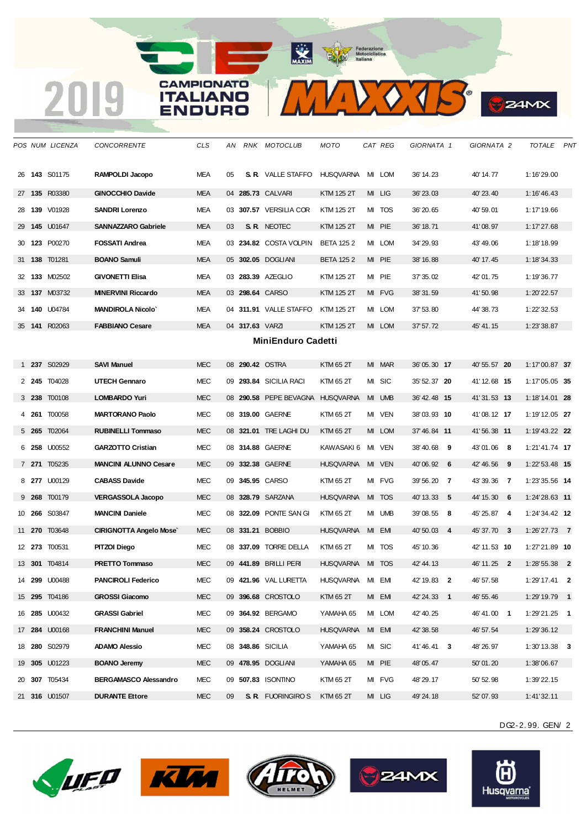### **CAMPIONATO ITALIANO ENDURO**

*POS NUM LICENZA CONCORRENTE CLS AN RNK MOTOCLUB MOTO CAT REG GIORNATA 1 GIORNATA 2 TOTALE PNT* **143** S01175 **RAMPOLDI Jacopo** MEA 05 **S. R.** VALLE STAFFO HUSQVARNA MI LOM 36' 14.23 40' 14.77 1:16'29.00 **135** R03380 **GINOCCHIO Davide** MEA 04 **285.73** CALVARI KTM 125 2T MI LIG 36' 23.03 40' 23.40 1:16'46.43 **139** V01928 **SANDRI Lorenzo** MEA 03 **307.57** VERSILIA COR KTM 125 2T MI TOS 36' 20.65 40' 59.01 1:17'19.66 **145** U01647 **SANNAZZARO Gabriele** MEA 03 **S. R.** NEOTEC KTM 125 2T MI PIE 36' 18.71 41' 08.97 1:17'27.68 **123** P00270 **FOSSATI Andrea** MEA 03 **234.82** COSTA VOLPIN BETA 125 2 MI LOM 34' 29.93 43' 49.06 1:18'18.99 **138** T01281 **BOANO Samuli** MEA 05 **302.05** DOGLIANI BETA 125 2 MI PIE 38' 16.88 40' 17.45 1:18'34.33 **133** M02502 **GIVONETTI Elisa** MEA 03 **283.39** AZEGLIO KTM 125 2T MI PIE 37' 35.02 42' 01.75 1:19'36.77 **137** M03732 **MINERVINI Riccardo** MEA 03 **298.64** CARSO KTM 125 2T MI FVG 38' 31.59 41' 50.98 1:20'22.57 **140** U04784 **MANDIROLA Nicolo`** MEA 04 **311.91** VALLE STAFFO KTM 125 2T MI LOM 37' 53.80 44' 38.73 1:22'32.53 **141** R02063 **FABBIANO Cesare** MEA 04 **317.63** VARZI KTM 125 2T MI LOM 37' 57.72 45' 41.15 1:23'38.87 **MiniEnduro Cadetti 237** S02929 **SAVI Manuel** MEC 08 **290.42** OSTRA KTM 65 2T MI MAR 36' 05.30 **17** 40' 55.57 **20** 1:17'00.87 **37 245** T04028 **UTECH Gennaro** MEC 09 **293.84** SICILIA RACI KTM 65 2T MI SIC 35' 52.37 **20** 41' 12.68 **15** 1:17'05.05 **35 238** T00108 **LOMBARDO Yuri** MEC 08 **290.58** PEPE BEVAGNA HUSQVARNA MI UMB 36' 42.48 **15** 41' 31.53 **13** 1:18'14.01 **28 261** T00058 **MARTORANO Paolo** MEC 08 **319.00** GAERNE KTM 65 2T MI VEN 38' 03.93 **10** 41' 08.12 **17** 1:19'12.05 **27 265** T02064 **RUBINELLI Tommaso** MEC 08 **321.01** TRE LAGHI DU KTM 65 2T MI LOM 37' 46.84 **11** 41' 56.38 **11** 1:19'43.22 **22 258** U00552 **GARZOTTO Cristian** MEC 08 **314.88** GAERNE KAWASAKI 6 MI VEN 38' 40.68 **9** 43' 01.06 **8** 1:21'41.74 **17 271** T05235 **MANCINI ALUNNO Cesare** MEC 09 **332.38** GAERNE HUSQVARNA MI VEN 40' 06.92 **6** 42' 46.56 **9** 1:22'53.48 **15 277** U00129 **CABASS Davide** MEC 09 **345.95** CARSO KTM 65 2T MI FVG 39' 56.20 **7** 43' 39.36 **7** 1:23'35.56 **14 268** T00179 **VERGASSOLA Jacopo** MEC 08 **328.79** SARZANA HUSQVARNA MI TOS 40' 13.33 **5** 44' 15.30 **6** 1:24'28.63 **11 266** S03847 **MANCINI Daniele** MEC 08 **322.09** PONTE SAN GI KTM 65 2T MI UMB 39' 08.55 **8** 45' 25.87 **4** 1:24'34.42 **12 270** T03648 **CIRIGNOTTA Angelo Mose`** MEC 08 **331.21** BOBBIO HUSQVARNA MI EMI 40' 50.03 **4** 45' 37.70 **3** 1:26'27.73 **7 273** T00531 **PITZOI Diego** MEC 08 **337.09** TORRE DELLA KTM 65 2T MI TOS 45' 10.36 42' 11.53 **10** 1:27'21.89 **10 301** T04814 **PRETTO Tommaso** MEC 09 **441.89** BRILLI PERI HUSQVARNA MI TOS 42' 44.13 46' 11.25 **2** 1:28'55.38 **2 299** U00488 **PANCIROLI Federico** MEC 09 **421.96** VAL LURETTA HUSQVARNA MI EMI 42' 19.83 **2** 46' 57.58 1:29'17.41 **2 295** T04186 **GROSSI Giacomo** MEC 09 **396.68** CROSTOLO KTM 65 2T MI EMI 42' 24.33 **1** 46' 55.46 1:29'19.79 **1 285** U00432 **GRASSI Gabriel** MEC 09 **364.92** BERGAMO YAMAHA 65 MI LOM 42' 40.25 46' 41.00 **1** 1:29'21.25 **1 284** U00168 **FRANCHINI Manuel** MEC 09 **358.24** CROSTOLO HUSQVARNA MI EMI 42' 38.58 46' 57.54 1:29'36.12 **280** S02979 **ADAMO Alessio** MEC 08 **348.86** SICILIA YAMAHA 65 MI SIC 41' 46.41 **3** 48' 26.97 1:30'13.38 **3 305** U01223 **BOANO Jeremy** MEC 09 **478.95** DOGLIANI YAMAHA 65 MI PIE 48' 05.47 50' 01.20 1:38'06.67 **307** T05434 **BERGAMASCO Alessandro** MEC 09 **507.83** ISONTINO KTM 65 2T MI FVG 48' 29.17 50' 52.98 1:39'22.15 **316** U01507 **DURANTE Ettore** MEC 09 **S. R.** FUORINGIRO S KTM 65 2T MI LIG 49' 24.18 52' 07.93 1:41'32.11

 $\sum$   $\bigcirc$   $\bigcirc$ 

**24MX** 











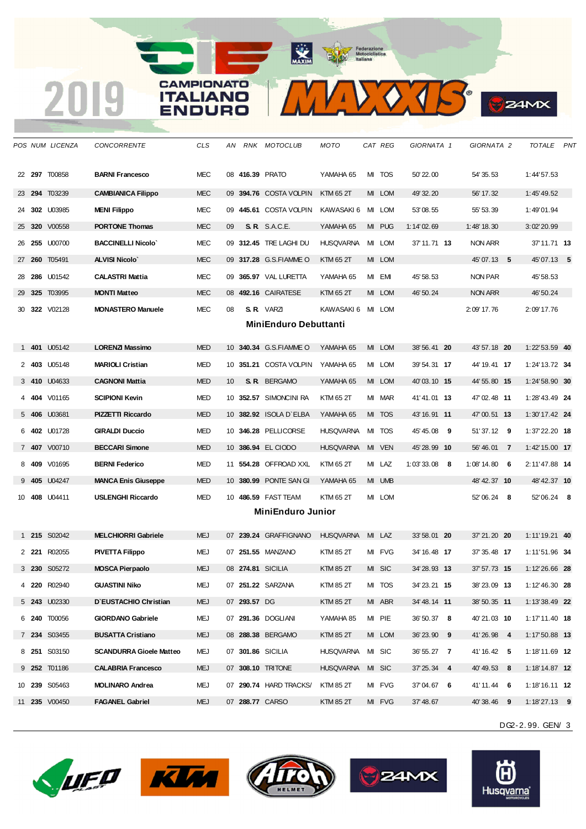## CAMPIONATO **ITALIANO** ENDURO

 **297** T00858 **BARNI Francesco** MEC 08 **416.39** PRATO YAMAHA 65 MI TOS 50' 22.00 54' 35.53 1:44'57.53 **294** T03239 **CAMBIANICA Filippo** MEC 09 **394.76** COSTA VOLPIN KTM 65 2T MI LOM 49' 32.20 56' 17.32 1:45'49.52 **302** U03985 **MENI Filippo** MEC 09 **445.61** COSTA VOLPIN KAWASAKI 6 MI LOM 53' 08.55 55' 53.39 1:49'01.94 **320** V00558 **PORTONE Thomas** MEC 09 **S. R.** S.A.C.E. YAMAHA 65 MI PUG 1:14' 02.69 1:48' 18.30 3:02'20.99 **255** U00700 **BACCINELLI Nicolo`** MEC 09 **312.45** TRE LAGHI DU HUSQVARNA MI LOM 37' 11.71 **13** NON ARR 37'11.71 **13 260** T05491 **ALVISI Nicolo`** MEC 09 **317.28** G.S.FIAMME O KTM 65 2T MI LOM 45' 07.13 **5** 45'07.13 **5 286** U01542 **CALASTRI Mattia** MEC 09 **365.97** VAL LURETTA YAMAHA 65 MI EMI 45' 58.53 NON PAR 45'58.53 **325** T03995 **MONTI Matteo** MEC 08 **492.16** CAIRATESE KTM 65 2T MI LOM 46' 50.24 NON ARR 46'50.24 **322** V02128 **MONASTERO Manuele** MEC 08 **S. R.** VARZI KAWASAKI 6 MI LOM 2:09' 17.76 2:09'17.76 **MiniEnduro Debuttanti 401** U05142 **LORENZI Massimo** MED 10 **340.34** G.S.FIAMME O YAMAHA 65 MI LOM 38' 56.41 **20** 43' 57.18 **20** 1:22'53.59 **40 403** U05148 **MARIOLI Cristian** MED 10 **351.21** COSTA VOLPIN YAMAHA 65 MI LOM 39' 54.31 **17** 44' 19.41 **17** 1:24'13.72 **34 410** U04633 **CAGNONI Mattia** MED 10 **S. R.** BERGAMO YAMAHA 65 MI LOM 40' 03.10 **15** 44' 55.80 **15** 1:24'58.90 **30 404** V01165 **SCIPIONI Kevin** MED 10 **352.57** SIMONCINI RA KTM 65 2T MI MAR 41' 41.01 **13** 47' 02.48 **11** 1:28'43.49 **24 406** U03681 **PIZZETTI Riccardo** MED 10 **382.92** ISOLA D`ELBA YAMAHA 65 MI TOS 43' 16.91 **11** 47' 00.51 **13** 1:30'17.42 **24 402** U01728 **GIRALDI Duccio** MED 10 **346.28** PELLICORSE HUSQVARNA MI TOS 45' 45.08 **9** 51' 37.12 **9** 1:37'22.20 **18 407** V00710 **BECCARI Simone** MED 10 **386.94** EL CIODO HUSQVARNA MI VEN 45' 28.99 **10** 56' 46.01 **7** 1:42'15.00 **17 409** V01695 **BERNI Federico** MED 11 **554.28** OFFROAD XXL KTM 65 2T MI LAZ 1:03' 33.08 **8** 1:08' 14.80 **6** 2:11'47.88 **14 405** U04247 **MANCA Enis Giuseppe** MED 10 **380.99** PONTE SAN GI YAMAHA 65 MI UMB 48' 42.37 **10** 48'42.37 **10 408** U04411 **USLENGHI Riccardo** MED 10 **486.59** FAST TEAM KTM 65 2T MI LOM 52' 06.24 **8** 52'06.24 **8 MiniEnduro Junior 215** S02042 **MELCHIORRI Gabriele** MEJ 07 **239.24** GRAFFIGNANO HUSQVARNA MI LAZ 33' 58.01 **20** 37' 21.20 **20** 1:11'19.21 **40 221** R02055 **PIVETTA Filippo** MEJ 07 **251.55** MANZANO KTM 85 2T MI FVG 34' 16.48 **17** 37' 35.48 **17** 1:11'51.96 **34 230** S05272 **MOSCA Pierpaolo** MEJ 08 **274.81** SICILIA KTM 85 2T MI SIC 34' 28.93 **13** 37' 57.73 **15** 1:12'26.66 **28 220** R02940 **GUASTINI Niko** MEJ 07 **251.22** SARZANA KTM 85 2T MI TOS 34' 23.21 **15** 38' 23.09 **13** 1:12'46.30 **28 243** U02330 **D`EUSTACHIO Christian** MEJ 07 **293.57** DG KTM 85 2T MI ABR 34' 48.14 **11** 38' 50.35 **11** 1:13'38.49 **22 240** T00056 **GIORDANO Gabriele** MEJ 07 **291.36** DOGLIANI YAMAHA 85 MI PIE 36' 50.37 **8** 40' 21.03 **10** 1:17'11.40 **18 234** S03455 **BUSATTA Cristiano** MEJ 08 **288.38** BERGAMO KTM 85 2T MI LOM 36' 23.90 **9** 41' 26.98 **4** 1:17'50.88 **13 251** S03150 **SCANDURRA Gioele Matteo** MEJ 07 **301.86** SICILIA HUSQVARNA MI SIC 36' 55.27 **7** 41' 16.42 **5** 1:18'11.69 **12 252** T01186 **CALABRIA Francesco** MEJ 07 **308.10** TRITONE HUSQVARNA MI SIC 37' 25.34 **4** 40' 49.53 **8** 1:18'14.87 **12**

*POS NUM LICENZA CONCORRENTE CLS AN RNK MOTOCLUB MOTO CAT REG GIORNATA 1 GIORNATA 2 TOTALE PNT*

 $\sum$ 

**24MX** 

DG2-2. 99. GEN/ 3







 **239** S05463 **MOLINARO Andrea** MEJ 07 **290.74** HARD TRACKS/ KTM 85 2T MI FVG 37' 04.67 **6** 41' 11.44 **6** 1:18'16.11 **12 235** V00450 **FAGANEL Gabriel** MEJ 07 **288.77** CARSO KTM 85 2T MI FVG 37' 48.67 40' 38.46 **9** 1:18'27.13 **9**



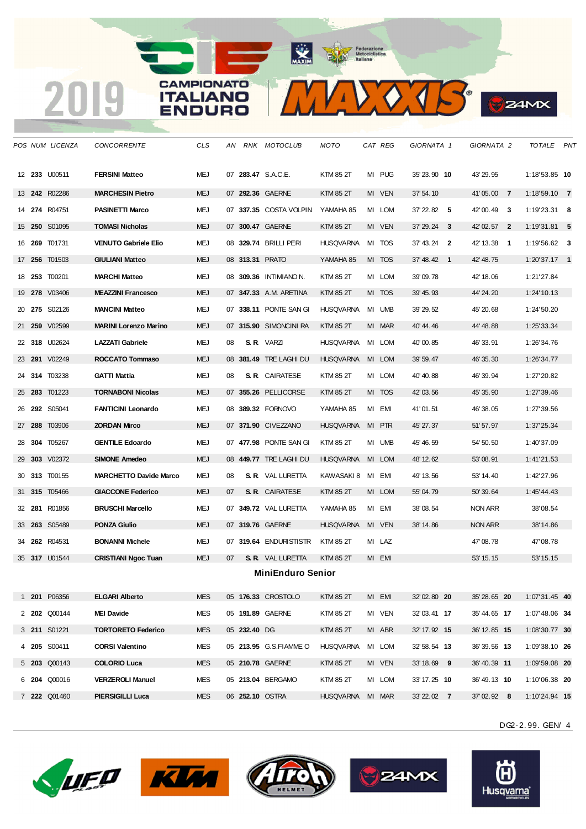# **CAMPIONATO ITALIANO** ENDURO

 **242** R02286 **MARCHESIN Pietro** MEJ 07 **292.36** GAERNE KTM 85 2T MI VEN 37' 54.10 41' 05.00 **7** 1:18'59.10 **7 274** R04751 **PASINETTI Marco** MEJ 07 **337.35** COSTA VOLPIN YAMAHA 85 MI LOM 37' 22.82 **5** 42' 00.49 **3** 1:19'23.31 **8 250** S01095 **TOMASI Nicholas** MEJ 07 **300.47** GAERNE KTM 85 2T MI VEN 37' 29.24 **3** 42' 02.57 **2** 1:19'31.81 **5 269** T01731 **VENUTO Gabriele Elio** MEJ 08 **329.74** BRILLI PERI HUSQVARNA MI TOS 37' 43.24 **2** 42' 13.38 **1** 1:19'56.62 **3 256** T01503 **GIULIANI Matteo** MEJ 08 **313.31** PRATO YAMAHA 85 MI TOS 37' 48.42 **1** 42' 48.75 1:20'37.17 **1 253** T00201 **MARCHI Matteo** MEJ 08 **309.36** INTIMIANO N. KTM 85 2T MI LOM 39' 09.78 42' 18.06 1:21'27.84 **278** V03406 **MEAZZINI Francesco** MEJ 07 **347.33** A.M. ARETINA KTM 85 2T MI TOS 39' 45.93 44' 24.20 1:24'10.13 **275** S02126 **MANCINI Matteo** MEJ 07 **338.11** PONTE SAN GI HUSQVARNA MI UMB 39' 29.52 45' 20.68 1:24'50.20 **259** V02599 **MARINI Lorenzo Marino** MEJ 07 **315.90** SIMONCINI RA KTM 85 2T MI MAR 40' 44.46 44' 48.88 1:25'33.34 **318** U02624 **LAZZATI Gabriele** MEJ 08 **S. R.** VARZI HUSQVARNA MI LOM 40' 00.85 46' 33.91 1:26'34.76 **291** V02249 **ROCCATO Tommaso** MEJ 08 **381.49** TRE LAGHI DU HUSQVARNA MI LOM 39' 59.47 46' 35.30 1:26'34.77 **314** T03238 **GATTI Mattia** MEJ 08 **S. R.** CAIRATESE KTM 85 2T MI LOM 40' 40.88 46' 39.94 1:27'20.82 **283** T01223 **TORNABONI Nicolas** MEJ 07 **355.26** PELLICORSE KTM 85 2T MI TOS 42' 03.56 45' 35.90 1:27'39.46 **292** S05041 **FANTICINI Leonardo** MEJ 08 **389.32** FORNOVO YAMAHA 85 MI EMI 41' 01.51 46' 38.05 1:27'39.56 **288** T03906 **ZORDAN Mirco** MEJ 07 **371.90** CIVEZZANO HUSQVARNA MI PTR 45' 27.37 51' 57.97 1:37'25.34 **304** T05267 **GENTILE Edoardo** MEJ 07 **477.98** PONTE SAN GI KTM 85 2T MI UMB 45' 46.59 54' 50.50 1:40'37.09 **303** V02372 **SIMONE Amedeo** MEJ 08 **449.77** TRE LAGHI DU HUSQVARNA MI LOM 48' 12.62 53' 08.91 1:41'21.53 **313** T00155 **MARCHETTO Davide Marco** MEJ 08 **S. R.** VAL LURETTA KAWASAKI 8 MI EMI 49' 13.56 53' 14.40 1:42'27.96

*POS NUM LICENZA CONCORRENTE CLS AN RNK MOTOCLUB MOTO CAT REG GIORNATA 1 GIORNATA 2 TOTALE PNT*

**ALL AND** 

 $\sum$ 

**24MX** 

**233** U00511 **FERSINI Matteo** MEJ 07 **283.47** S.A.C.E. KTM 85 2T MI PUG 35' 23.90 **10** 43' 29.95 1:18'53.85 **10**

 **315** T05466 **GIACCONE Federico** MEJ 07 **S. R.** CAIRATESE KTM 85 2T MI LOM 55' 04.79 50' 39.64 1:45'44.43 **281** R01856 **BRUSCHI Marcello** MEJ 07 **349.72** VAL LURETTA YAMAHA 85 MI EMI 38' 08.54 NON ARR 38'08.54 **263** S05489 **PONZA Giulio** MEJ 07 **319.76** GAERNE HUSQVARNA MI VEN 38' 14.86 NON ARR 38'14.86 **262** R04531 **BONANNI Michele** MEJ 07 **319.64** ENDURISTISTR KTM 85 2T MI LAZ 47' 08.78 47'08.78 **317** U01544 **CRISTIANI Ngoc Tuan** MEJ 07 **S. R.** VAL LURETTA KTM 85 2T MI EMI 53' 15.15 53'15.15 **MiniEnduro Senior 201** P06356 **ELGARI Alberto** MES 05 **176.33** CROSTOLO KTM 85 2T MI EMI 32' 02.80 **20** 35' 28.65 **20** 1:07'31.45 **40 202** Q00144 **MEI Davide** MES 05 **191.89** GAERNE KTM 85 2T MI VEN 32' 03.41 **17** 35' 44.65 **17** 1:07'48.06 **34 211** S01221 **TORTORETO Federico** MES 05 **232.40** DG KTM 85 2T MI ABR 32' 17.92 **15** 36' 12.85 **15** 1:08'30.77 **30 205** S00411 **CORSI Valentino** MES 05 **213.95** G.S.FIAMME O HUSQVARNA MI LOM 32' 58.54 **13** 36' 39.56 **13** 1:09'38.10 **26 203** Q00143 **COLORIO Luca** MES 05 **210.78** GAERNE KTM 85 2T MI VEN 33' 18.69 **9** 36' 40.39 **11** 1:09'59.08 **20 204** Q00016 **VERZEROLI Manuel** MES 05 **213.04** BERGAMO KTM 85 2T MI LOM 33' 17.25 **10** 36' 49.13 **10** 1:10'06.38 **20 222** Q01460 **PIERSIGILLI Luca** MES 06 **252.10** OSTRA HUSQVARNA MI MAR 33' 22.02 **7** 37' 02.92 **8** 1:10'24.94 **15**

DG2-2. 99. GEN/ 4









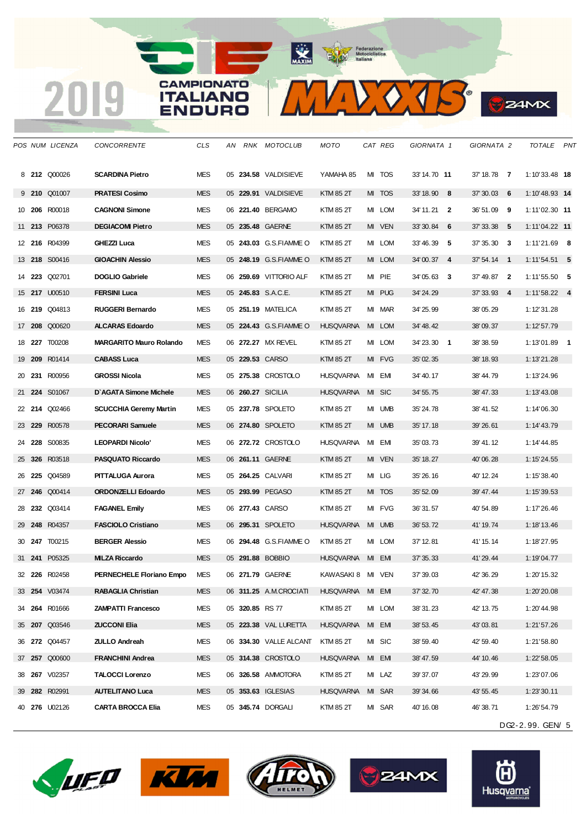#### **CAMPIONATO** 2019 **ITALIANO ENDURO**

MAXIM Pederazione



|    |        | POS NUM LICENZA      | <b>CONCORRENTE</b>             | <b>CLS</b> | AN |                 | RNK MOTOCLUB           | MOTO              |    | CAT REG | GIORNATA 1   | GIORNATA 2    | TOTALE PNT       |  |
|----|--------|----------------------|--------------------------------|------------|----|-----------------|------------------------|-------------------|----|---------|--------------|---------------|------------------|--|
|    |        | 8 212 Q00026         | <b>SCARDINA Pietro</b>         | <b>MES</b> |    |                 | 05 234.58 VALDISIEVE   | YAMAHA 85         |    | MI TOS  | 33' 14.70 11 | 37' 18.78 7   | $1:10'33.48$ 18  |  |
|    |        | 9 210 Q01007         | <b>PRATESI Cosimo</b>          | <b>MES</b> |    |                 | 05 229.91 VALDISIEVE   | <b>KTM 85 2T</b>  |    | MI TOS  | $33'18.90$ 8 | $37'30.03$ 6  | $1:10'48.93$ 14  |  |
| 10 | 206    | R00018               | <b>CAGNONI Simone</b>          | <b>MES</b> |    |                 | 06 221.40 BERGAMO      | KTM 85 2T         |    | MI LOM  | 34' 11.21 2  | 36' 51.09 9   | $1:11'02.30$ 11  |  |
|    |        | 11 213 P06378        | <b>DEGIACOMI Pietro</b>        | <b>MES</b> |    |                 | 05 235.48 GAERNE       | <b>KTM 85 2T</b>  |    | MI VEN  | 33'30.84 6   | $37'33.38$ 5  | $1:11'04.22$ 11  |  |
|    |        | 12 216 R04399        | GHEZZI Luca                    | <b>MES</b> |    |                 | 05 243.03 G.S.FIAMME O | KTM 85 2T         |    | MI LOM  | 33'46.39 5   | $37'35.30$ 3  | $1:11'21.69$ 8   |  |
|    |        | 13 218 S00416        | <b>GIOACHIN Alessio</b>        | <b>MES</b> |    |                 | 05 248.19 G.S.FIAMMEO  | KTM 85 2T         |    | MI LOM  | 34'00.37 4   | $37'54.14$ 1  | $1:11'54.51$ 5   |  |
|    |        | 14 <b>223</b> Q02701 | <b>DOGLIO Gabriele</b>         | <b>MES</b> |    |                 | 06 259.69 VITTORIO ALF | KTM 85 2T         |    | MI PIE  | 34'05.63 3   | $37' 49.87$ 2 | $1:11'55.50$ 5   |  |
|    |        | 15 <b>217</b> U00510 | <b>FERSINI Luca</b>            | <b>MES</b> |    |                 | 05 245.83 S.A.C.E.     | KTM 85 2T         |    | MI PUG  | 34' 24.29    | $37'33.93$ 4  | $1:11'58.22$ 4   |  |
|    |        | 16 <b>219</b> Q04813 | <b>RUGGERI Bernardo</b>        | <b>MES</b> |    |                 | 05 251.19 MATELICA     | KTM 85 2T         | MI | MAR     | 34' 25.99    | 38'05.29      | 1:12'31.28       |  |
|    |        | 17 208 Q00620        | <b>ALCARAS Edoardo</b>         | <b>MES</b> |    |                 | 05 224.43 G.S.FIAMMEO  | <b>HUSQVARNA</b>  |    | MI LOM  | 34' 48.42    | 38'09.37      | 1:12'57.79       |  |
|    |        | 18 227 T00208        | <b>MARGARITO Mauro Rolando</b> | <b>MES</b> |    |                 | 06 272.27 MX REVEL     | <b>KTM 85 2T</b>  |    | MI LOM  | 34'23.30 1   | 38' 38.59     | $1:13'01.89$ 1   |  |
|    |        | 19 209 R01414        | <b>CABASS Luca</b>             | <b>MES</b> |    |                 | 05 229.53 CARSO        | <b>KTM 85 2T</b>  |    | MI FVG  | 35' 02.35    | 38' 18.93     | 1:13'21.28       |  |
|    |        | 20 231 R00956        | <b>GROSSI Nicola</b>           | <b>MES</b> |    |                 | 05 275.38 CROSTOLO     | <b>HUSQVARNA</b>  |    | MI EMI  | 34' 40.17    | 38'44.79      | 1:13'24.96       |  |
|    |        | 21 224 S01067        | D'AGATA Simone Michele         | <b>MES</b> |    |                 | 06 260.27 SICILIA      | <b>HUSQVARNA</b>  |    | MI SIC  | 34' 55.75    | 38' 47.33     | 1:13'43.08       |  |
|    |        | 22 214 Q02466        | <b>SCUCCHIA Geremy Martin</b>  | <b>MES</b> |    |                 | 05 237.78 SPOLETO      | KTM 85 2T         |    | MI UMB  | 35' 24.78    | 38' 41.52     | 1:14'06.30       |  |
|    |        | 23 <b>229</b> R00578 | <b>PECORARI Samuele</b>        | <b>MES</b> |    |                 | 06 274.80 SPOLETO      | KTM 85 2T         |    | MI UMB  | 35' 17.18    | 39' 26.61     | 1:14'43.79       |  |
|    |        | 24 228 S00835        | <b>LEOPARDI Nicolo'</b>        | <b>MES</b> |    |                 | 06 272.72 CROSTOLO     | <b>HUSQVARNA</b>  |    | MI EMI  | 35'03.73     | 39' 41.12     | 1:14'44.85       |  |
|    | 25 326 | R03518               | <b>PASQUATO Riccardo</b>       | <b>MES</b> |    |                 | 06 261.11 GAERNE       | <b>KTM 85 2T</b>  |    | MI VEN  | 35' 18.27    | 40'06.28      | 1:15'24.55       |  |
| 26 |        | 225 Q04589           | <b>PITTALUGA Aurora</b>        | <b>MES</b> |    |                 | 05 264.25 CALVARI      | KTM 85 2T         |    | MI LIG  | 35' 26.16    | 40' 12.24     | 1:15'38.40       |  |
|    |        | 27 246 Q00414        | <b>ORDONZELLI Edoardo</b>      | <b>MES</b> |    |                 | 05 293.99 PEGASO       | <b>KTM 85 2T</b>  |    | MI TOS  | 35' 52.09    | 39' 47.44     | 1:15'39.53       |  |
|    |        | 28 <b>232</b> Q03414 | <b>FAGANEL Emily</b>           | <b>MES</b> |    |                 | 06 277.43 CARSO        | KTM 85 2T         |    | MI FVG  | 36' 31.57    | 40' 54.89     | 1:17'26.46       |  |
|    |        | 29 248 R04357        | <b>FASCIOLO Cristiano</b>      | <b>MES</b> |    |                 | 06 295.31 SPOLETO      | <b>HUSQVARNA</b>  |    | MI UMB  | 36' 53.72    | 41' 19.74     | 1:18'13.46       |  |
|    |        | 30 <b>247</b> T00215 | <b>BERGER Alessio</b>          | <b>MES</b> |    |                 | 06 294.48 G.S.FIAMMEO  | KTM 85 2T         |    | MI LOM  | 37' 12.81    | 41' 15.14     | 1:18'27.95       |  |
|    | 31 241 | P05325               | <b>MILZA Riccardo</b>          | <b>MES</b> |    |                 | 05 291.88 BOBBIO       | <b>HUSQVARNA</b>  |    | MI EMI  | 37' 35.33    | 41'29.44      | 1:19'04.77       |  |
|    |        | 32 226 R02458        | PERNECHELE Floriano Empo       | <b>MES</b> |    |                 | 06 271.79 GAERNE       | KAWASAKI 8 MI VEN |    |         | 37' 39.03    | 42' 36.29     | 1:20'15.32       |  |
|    |        | 33 254 V03474        | <b>RABAGLIA Christian</b>      | <b>MES</b> |    |                 | 06 311.25 A.M.CROCIATI | HUSQVARNA MI EMI  |    |         | 37' 32.70    | 42' 47.38     | 1:20'20.08       |  |
|    |        | 34 264 R01666        | <b>ZAMPATTI Francesco</b>      | MES        |    | 05 320.85 RS 77 |                        | KTM 85 2T         |    | MI LOM  | 38' 31.23    | 42' 13.75     | 1:20'44.98       |  |
|    |        | 35 207 Q03546        | <b>ZUCCONI Elia</b>            | <b>MES</b> |    |                 | 05 223.38 VAL LURETTA  | <b>HUSQVARNA</b>  |    | MI EMI  | 38' 53.45    | 43'03.81      | 1:21'57.26       |  |
|    |        | 36 272 Q04457        | <b>ZULLO Andreah</b>           | MES        |    |                 | 06 334.30 VALLE ALCANT | KTM 85 2T         |    | MI SIC  | 38' 59.40    | 42' 59.40     | 1:21'58.80       |  |
|    |        | 37 257 Q00600        | <b>FRANCHINI Andrea</b>        | <b>MES</b> |    |                 | 05 314.38 CROSTOLO     | <b>HUSQVARNA</b>  |    | MI EMI  | 38' 47.59    | 44' 10.46     | 1:22'58.05       |  |
|    |        | 38 <b>267</b> V02357 | <b>TALOCCI Lorenzo</b>         | MES        |    |                 | 06 326.58 AMMOTORA     | KTM 85 2T         |    | MI LAZ  | 39' 37.07    | 43' 29.99     | 1:23'07.06       |  |
|    |        | 39 282 R02991        | <b>AUTELITANO Luca</b>         | <b>MES</b> |    |                 | 05 353.63 IGLESIAS     | <b>HUSQVARNA</b>  |    | MI SAR  | 39' 34.66    | 43' 55.45     | 1:23'30.11       |  |
|    |        | 40 276 U02126        | <b>CARTA BROCCA Elia</b>       | MES        |    |                 | 05 345.74 DORGALI      | KTM 85 2T         |    | MI SAR  | 40' 16.08    | 46' 38.71     | 1:26'54.79       |  |
|    |        |                      |                                |            |    |                 |                        |                   |    |         |              |               | DG2-2.99. GEN/ 5 |  |